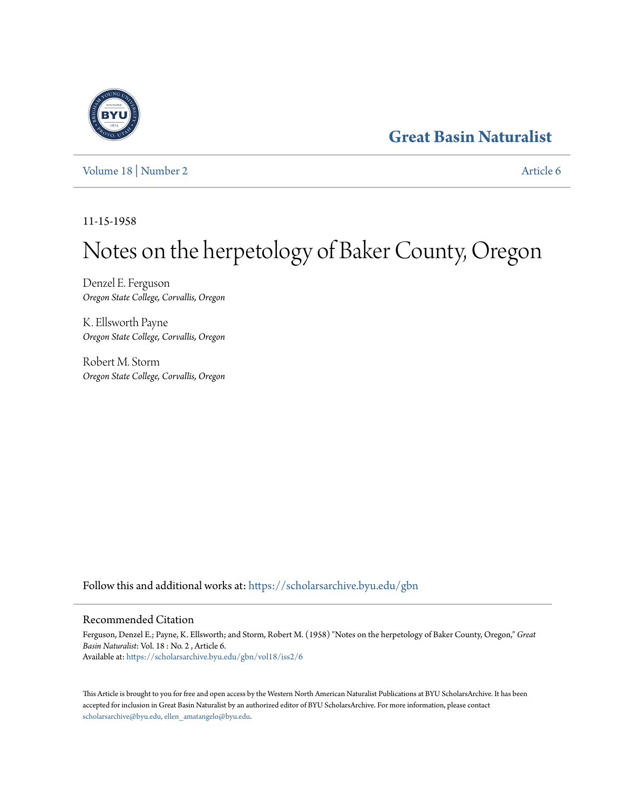## **[Great Basin Naturalist](https://scholarsarchive.byu.edu/gbn?utm_source=scholarsarchive.byu.edu%2Fgbn%2Fvol18%2Fiss2%2F6&utm_medium=PDF&utm_campaign=PDFCoverPages)**

[Volume 18](https://scholarsarchive.byu.edu/gbn/vol18?utm_source=scholarsarchive.byu.edu%2Fgbn%2Fvol18%2Fiss2%2F6&utm_medium=PDF&utm_campaign=PDFCoverPages) | [Number 2](https://scholarsarchive.byu.edu/gbn/vol18/iss2?utm_source=scholarsarchive.byu.edu%2Fgbn%2Fvol18%2Fiss2%2F6&utm_medium=PDF&utm_campaign=PDFCoverPages) [Article 6](https://scholarsarchive.byu.edu/gbn/vol18/iss2/6?utm_source=scholarsarchive.byu.edu%2Fgbn%2Fvol18%2Fiss2%2F6&utm_medium=PDF&utm_campaign=PDFCoverPages)

11-15-1958

# Notes on the herpetology of Baker County, Oregon

Denzel E. Ferguson *Oregon State College, Corvallis, Oregon*

K. Ellsworth Payne *Oregon State College, Corvallis, Oregon*

Robert M. Storm *Oregon State College, Corvallis, Oregon*

Follow this and additional works at: [https://scholarsarchive.byu.edu/gbn](https://scholarsarchive.byu.edu/gbn?utm_source=scholarsarchive.byu.edu%2Fgbn%2Fvol18%2Fiss2%2F6&utm_medium=PDF&utm_campaign=PDFCoverPages)

### Recommended Citation

Ferguson, Denzel E.; Payne, K. Ellsworth; and Storm, Robert M. (1958) "Notes on the herpetology of Baker County, Oregon," *Great Basin Naturalist*: Vol. 18 : No. 2 , Article 6. Available at: [https://scholarsarchive.byu.edu/gbn/vol18/iss2/6](https://scholarsarchive.byu.edu/gbn/vol18/iss2/6?utm_source=scholarsarchive.byu.edu%2Fgbn%2Fvol18%2Fiss2%2F6&utm_medium=PDF&utm_campaign=PDFCoverPages)

This Article is brought to you for free and open access by the Western North American Naturalist Publications at BYU ScholarsArchive. It has been accepted for inclusion in Great Basin Naturalist by an authorized editor of BYU ScholarsArchive. For more information, please contact [scholarsarchive@byu.edu, ellen\\_amatangelo@byu.edu.](mailto:scholarsarchive@byu.edu,%20ellen_amatangelo@byu.edu)

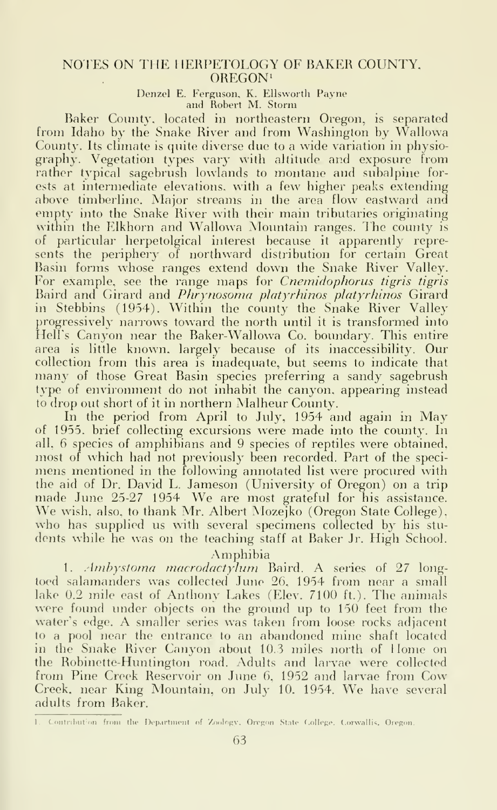#### NOTES ON THE HERPETOLOGY OF BAKER COUNTY. OREGON'

Denzel E. Ferguson, K. Ellsworth Payne and Robert M. Storm

Baker County, located in northeastern Oregon, is separated from Idaho by the Snake River and from Washington by Wallowa County. Its climate is quite diverse due to a wide variation in physiography. Vegetation types vary with altitude and exposure from rather typical sagebrush lowlands to montane and subalpine for ests at intermediate elevations, with a few higher peaks extending above timberline. Major streams in the area flow eastward and empty into the Snake River with their main tributaries originating within the Elkhorn and Wallowa Mountain ranges. The county is of particular herpetolgical interest because it apparently represents the periphery of northward distribution for certain Great Basin forms whose ranges extend down the Snake River Valley. For example, see the range maps for *Cnemidophorus tigris tigris* Baird and Girard and Phrynosoma platyrhinos platyrhinos Girard in Stebbins (1954). Within the county the Snake River Valley progressively narrows toward the north until it is transformed into Hell's Canyon near the Baker-Wallowa Co. boundary. This entire area is little known, largely because of its inaccessibility. Our collection from this area is inadequate, but seems to indicate that many of those Great Basin species preferring <sup>a</sup> sandy sagebrush type of environment do not inhabit the canyon, appearing instead to drop out short of it in northern Malheur County.

In the period from April to July, 1954 and again in May of 1955. brief collecting excursions were made into the county. In all, 6 species of amphibians and 9 species of reptiles were obtained, most of which had not previously been recorded. Part of the speci mens mentioned in the following annotated list were procured with the aid of Dr. David L. Jameson (University of Oregon) on a trip made June 25-27 <sup>1954</sup> We are most grateful for his assistance. We wish, also, to thank Mr. Albert Mozejko (Oregon State College), who has supplied us with several specimens collected by his students while he was on the teaching staff at Baker Jr. High School.

#### Amphibia

1. Ambystoma macrodactylum Baird. A series of 27 longtoed salamanders was collected June 26, 1954 from near a small lake 0.2 mile east of Anthony Lakes (Elev. 7100 ft.). The animals were found under objects on the ground up to 150 feet from the water's edge. A smaller series was taken from loose rocks adjacent to <sup>a</sup> pool near the entrance to an abandoned mine shaft located in the Snake River Canyon about 10.3 miles north of Home on the Robinette-Huntington road. Adults and larvae were collected from Pine Creek Reservoir on June 6, 1952 and larvae from Cow Creek, near King Mountain, on July 10. 1954. We have several adults from Baker.

<sup>1.</sup> Contribution from the Department of Zoology, Oregon State College. Corwallis, Oregon.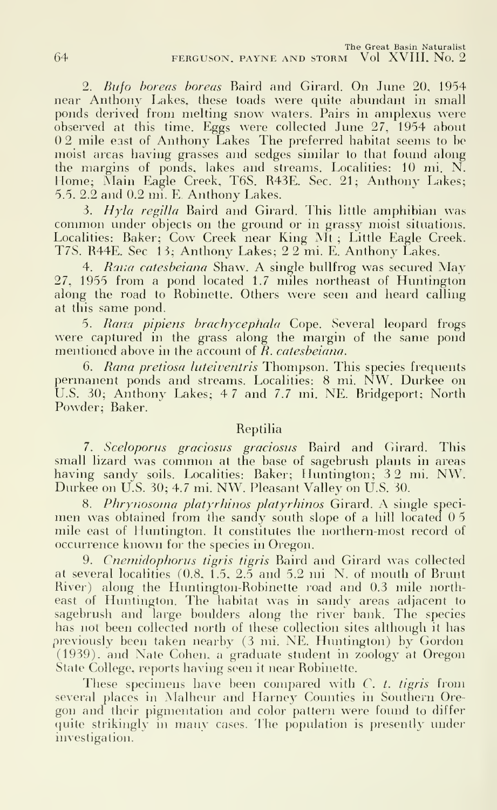2. Bufo boreas horeas Baird and Girard. On June 20. 1954 near Anthony Lakes, these toads were quite abundant in small ponds derived from melting snow waters. Pairs in amplexus were observed at this time. Eggs were collected June  $27, 1954$  about 02 mile east of Anthony Lakes The preferred habitat seems to be moist areas having grasses and sedges similar to that found along the margins of ponds, lakes and streams. Localities: 10 mi. N. Home; Main Eagle Creek, T6S. R43E. Sec. 21; Anthony Lakes; 5.5. 2.2 and 0.2 mi. E. Anthony Lakes.<br>3.  $Hyla$  regilla Baird and Girard. This little amphibian was

common under objects on the ground or in grassy moist situations. Localities: Baker; Cow Creek near King Mt; Little Eagle Creek. T7S. R44E. Sec 13; Anthony Lakes; 2 2 mi. E. Anthony Lakes.

4. Ratia catesbeiana Shaw. A single bullfrog was secured May 27, 1955 from a pond located 1.7 miles northeast of Huntington along the road to Robinette. Others were seen and heard calling at this same pond.

5. Rana pipiens brachycephala Cope. Several leopard frogs were captured in the grass along the margin of the same pond mentioned above in the account of  $R$ . catesbeiana.

6. Rana pretiosa luteiventris Thompson. This species frequents permanent ponds and streams. Localities: <sup>8</sup> mi. NW. Durkee on U.S. 30; Anthony Lakes; 4 <sup>7</sup> and 7.7 mi. NE. Bridgeport; North Powder; Baker.

#### Reptilia

7. Sceloporus graciosus graciosus Baird and Girard. This small lizard was common at the base of sagebrush plants in areas having sandy soils. Localities: Baker; Huntington; <sup>3</sup> <sup>2</sup> mi. NW. Durkee on U.S. 30; 4.7 mi. NW. Pleasant Valley on U.S. 30.

8. Phrynosoma platyrhinos platyrhinos Girard. A single specimen was obtained from the sandy south slope of a hill located 0.5 mile east of Huntington. It constitutes the northern-most record of occurrence known for the species in Oregon.

9. Cnemidophorus tigris tigris Baird and Girard was collected at several localities (0.8, 1.5, 2.5 and 5.2 mi. N. of mouth of Brunt River) along the Huntington-Robinette road and 0.3 mile northeast of Huntington. The habitat was in sandy areas adjacent to sagebrush and large boulders along the river bank. The species has not been collected north of these collection sites although it has previously been taken nearby (3 mi. NE. Huntington) by Gordon (1939), and Nate Cohen, a graduate student in zoology at Oregon State College, reports having seen it near Robinette.

These specimens have been compared with  $C$ . t. tigris from several places in Malheur and Harney Counties in Southern Oregon and their pigmentation and color pattern were found to differ quite strikingly in many cases. The population is presently under investigation.